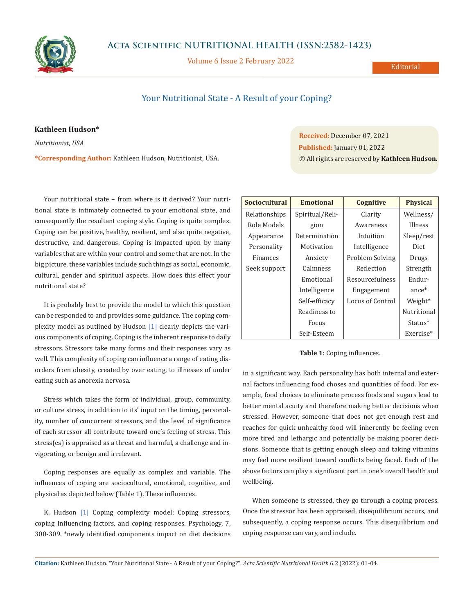

**Acta Scientific NUTRITIONAL HEALTH (ISSN:2582-1423)**

Volume 6 Issue 2 February 2022

# Your Nutritional State - A Result of your Coping?

### **Kathleen Hudson\***

*Nutritionist, USA*

**\*Corresponding Author:** Kathleen Hudson, Nutritionist, USA.

Your nutritional state – from where is it derived? Your nutritional state is intimately connected to your emotional state, and consequently the resultant coping style. Coping is quite complex. Coping can be positive, healthy, resilient, and also quite negative, destructive, and dangerous. Coping is impacted upon by many variables that are within your control and some that are not. In the big picture, these variables include such things as social, economic, cultural, gender and spiritual aspects. How does this effect your nutritional state?

It is probably best to provide the model to which this question can be responded to and provides some guidance. The coping complexity model as outlined by Hudson [1] clearly depicts the various components of coping. Coping is the inherent response to daily stressors. Stressors take many forms and their responses vary as well. This complexity of coping can influence a range of eating disorders from obesity, created by over eating, to illnesses of under eating such as anorexia nervosa.

Stress which takes the form of individual, group, community, or culture stress, in addition to its' input on the timing, personality, number of concurrent stressors, and the level of significance of each stressor all contribute toward one's feeling of stress. This stress(es) is appraised as a threat and harmful, a challenge and invigorating, or benign and irrelevant.

Coping responses are equally as complex and variable. The influences of coping are sociocultural, emotional, cognitive, and physical as depicted below (Table 1). These influences.

K. Hudson [1] Coping complexity model: Coping stressors, coping Influencing factors, and coping responses. Psychology, 7, 300-309. \*newly identified components impact on diet decisions

**Received:** December 07, 2021 **Published:** January 01, 2022 © All rights are reserved by **Kathleen Hudson***.*

| <b>Sociocultural</b> | <b>Emotional</b> | Cognitive        | <b>Physical</b> |
|----------------------|------------------|------------------|-----------------|
| Relationships        | Spiritual/Reli-  | Clarity          | Wellness/       |
| Role Models          | gion             | Awareness        | Illness         |
| Appearance           | Determination    | Intuition        | Sleep/rest      |
| Personality          | Motivation       | Intelligence     | Diet            |
| <b>Finances</b>      | Anxiety          | Problem Solving  | Drugs           |
| Seek support         | Calmness         | Reflection       | Strength        |
|                      | Emotional        | Resourcefulness  | Endur-          |
|                      | Intelligence     | Engagement       | $ance*$         |
|                      | Self-efficacy    | Locus of Control | Weight*         |
|                      | Readiness to     |                  | Nutritional     |
|                      | <b>Focus</b>     |                  | Status*         |
|                      | Self-Esteem      |                  | Exercise*       |

#### **Table 1:** Coping influences.

in a significant way. Each personality has both internal and external factors influencing food choses and quantities of food. For example, food choices to eliminate process foods and sugars lead to better mental acuity and therefore making better decisions when stressed. However, someone that does not get enough rest and reaches for quick unhealthy food will inherently be feeling even more tired and lethargic and potentially be making poorer decisions. Someone that is getting enough sleep and taking vitamins may feel more resilient toward conflicts being faced. Each of the above factors can play a significant part in one's overall health and wellbeing.

When someone is stressed, they go through a coping process. Once the stressor has been appraised, disequilibrium occurs, and subsequently, a coping response occurs. This disequilibrium and coping response can vary, and include.

**Citation:** Kathleen Hudson*.* "Your Nutritional State - A Result of your Coping?". *Acta Scientific Nutritional Health* 6.2 (2022): 01-04.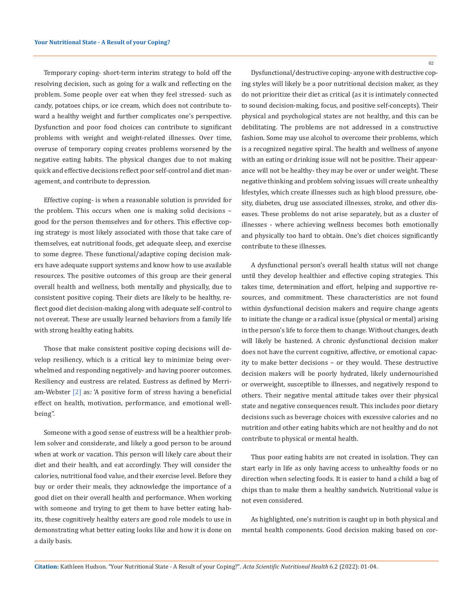Temporary coping- short-term interim strategy to hold off the resolving decision, such as going for a walk and reflecting on the problem. Some people over eat when they feel stressed- such as candy, potatoes chips, or ice cream, which does not contribute toward a healthy weight and further complicates one's perspective. Dysfunction and poor food choices can contribute to significant problems with weight and weight-related illnesses. Over time, overuse of temporary coping creates problems worsened by the negative eating habits. The physical changes due to not making quick and effective decisions reflect poor self-control and diet management, and contribute to depression.

Effective coping- is when a reasonable solution is provided for the problem. This occurs when one is making solid decisions – good for the person themselves and for others. This effective coping strategy is most likely associated with those that take care of themselves, eat nutritional foods, get adequate sleep, and exercise to some degree. These functional/adaptive coping decision makers have adequate support systems and know how to use available resources. The positive outcomes of this group are their general overall health and wellness, both mentally and physically, due to consistent positive coping. Their diets are likely to be healthy, reflect good diet decision-making along with adequate self-control to not overeat. These are usually learned behaviors from a family life with strong healthy eating habits.

Those that make consistent positive coping decisions will develop resiliency, which is a critical key to minimize being overwhelmed and responding negatively- and having poorer outcomes. Resiliency and eustress are related. Eustress as defined by Merriam-Webster [2] as: 'A positive form of stress having a beneficial effect on health, motivation, performance, and emotional wellbeing".

Someone with a good sense of eustress will be a healthier problem solver and considerate, and likely a good person to be around when at work or vacation. This person will likely care about their diet and their health, and eat accordingly. They will consider the calories, nutritional food value, and their exercise level. Before they buy or order their meals, they acknowledge the importance of a good diet on their overall health and performance. When working with someone and trying to get them to have better eating habits, these cognitively healthy eaters are good role models to use in demonstrating what better eating looks like and how it is done on a daily basis.

02

Dysfunctional/destructive coping- anyone with destructive coping styles will likely be a poor nutritional decision maker, as they do not prioritize their diet as critical (as it is intimately connected to sound decision-making, focus, and positive self-concepts). Their physical and psychological states are not healthy, and this can be debilitating. The problems are not addressed in a constructive fashion. Some may use alcohol to overcome their problems, which is a recognized negative spiral. The health and wellness of anyone with an eating or drinking issue will not be positive. Their appearance will not be healthy- they may be over or under weight. These negative thinking and problem solving issues will create unhealthy lifestyles, which create illnesses such as high blood pressure, obesity, diabetes, drug use associated illnesses, stroke, and other diseases. These problems do not arise separately, but as a cluster of illnesses - where achieving wellness becomes both emotionally and physically too hard to obtain. One's diet choices significantly contribute to these illnesses.

A dysfunctional person's overall health status will not change until they develop healthier and effective coping strategies. This takes time, determination and effort, helping and supportive resources, and commitment. These characteristics are not found within dysfunctional decision makers and require change agents to initiate the change or a radical issue (physical or mental) arising in the person's life to force them to change. Without changes, death will likely be hastened. A chronic dysfunctional decision maker does not have the current cognitive, affective, or emotional capacity to make better decisions – or they would. These destructive decision makers will be poorly hydrated, likely undernourished or overweight, susceptible to illnesses, and negatively respond to others. Their negative mental attitude takes over their physical state and negative consequences result. This includes poor dietary decisions such as beverage choices with excessive calories and no nutrition and other eating habits which are not healthy and do not contribute to physical or mental health.

Thus poor eating habits are not created in isolation. They can start early in life as only having access to unhealthy foods or no direction when selecting foods. It is easier to hand a child a bag of chips than to make them a healthy sandwich. Nutritional value is not even considered.

As highlighted, one's nutrition is caught up in both physical and mental health components. Good decision making based on cor-

**Citation:** Kathleen Hudson*.* "Your Nutritional State - A Result of your Coping?". *Acta Scientific Nutritional Health* 6.2 (2022): 01-04.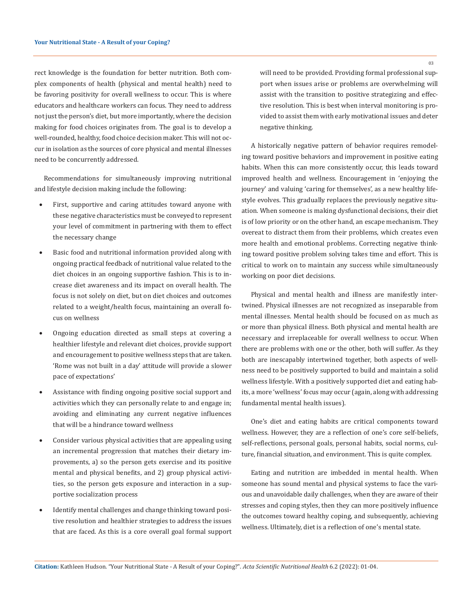rect knowledge is the foundation for better nutrition. Both complex components of health (physical and mental health) need to be favoring positivity for overall wellness to occur. This is where educators and healthcare workers can focus. They need to address not just the person's diet, but more importantly, where the decision making for food choices originates from. The goal is to develop a well-rounded, healthy, food choice decision maker. This will not occur in isolation as the sources of core physical and mental illnesses need to be concurrently addressed.

Recommendations for simultaneously improving nutritional and lifestyle decision making include the following:

- First, supportive and caring attitudes toward anyone with these negative characteristics must be conveyed to represent your level of commitment in partnering with them to effect the necessary change
- Basic food and nutritional information provided along with ongoing practical feedback of nutritional value related to the diet choices in an ongoing supportive fashion. This is to increase diet awareness and its impact on overall health. The focus is not solely on diet, but on diet choices and outcomes related to a weight/health focus, maintaining an overall focus on wellness
- Ongoing education directed as small steps at covering a healthier lifestyle and relevant diet choices, provide support and encouragement to positive wellness steps that are taken. 'Rome was not built in a day' attitude will provide a slower pace of expectations'
- Assistance with finding ongoing positive social support and activities which they can personally relate to and engage in; avoiding and eliminating any current negative influences that will be a hindrance toward wellness
- Consider various physical activities that are appealing using an incremental progression that matches their dietary improvements, a) so the person gets exercise and its positive mental and physical benefits, and 2) group physical activities, so the person gets exposure and interaction in a supportive socialization process
- Identify mental challenges and change thinking toward positive resolution and healthier strategies to address the issues that are faced. As this is a core overall goal formal support

will need to be provided. Providing formal professional support when issues arise or problems are overwhelming will assist with the transition to positive strategizing and effective resolution. This is best when interval monitoring is provided to assist them with early motivational issues and deter negative thinking.

A historically negative pattern of behavior requires remodeling toward positive behaviors and improvement in positive eating habits. When this can more consistently occur, this leads toward improved health and wellness. Encouragement in 'enjoying the journey' and valuing 'caring for themselves', as a new healthy lifestyle evolves. This gradually replaces the previously negative situation. When someone is making dysfunctional decisions, their diet is of low priority or on the other hand, an escape mechanism. They overeat to distract them from their problems, which creates even more health and emotional problems. Correcting negative thinking toward positive problem solving takes time and effort. This is critical to work on to maintain any success while simultaneously working on poor diet decisions.

Physical and mental health and illness are manifestly intertwined. Physical illnesses are not recognized as inseparable from mental illnesses. Mental health should be focused on as much as or more than physical illness. Both physical and mental health are necessary and irreplaceable for overall wellness to occur. When there are problems with one or the other, both will suffer. As they both are inescapably intertwined together, both aspects of wellness need to be positively supported to build and maintain a solid wellness lifestyle. With a positively supported diet and eating habits, a more 'wellness' focus may occur (again, along with addressing fundamental mental health issues).

One's diet and eating habits are critical components toward wellness. However, they are a reflection of one's core self-beliefs, self-reflections, personal goals, personal habits, social norms, culture, financial situation, and environment. This is quite complex.

Eating and nutrition are imbedded in mental health. When someone has sound mental and physical systems to face the various and unavoidable daily challenges, when they are aware of their stresses and coping styles, then they can more positively influence the outcomes toward healthy coping, and subsequently, achieving wellness. Ultimately, diet is a reflection of one's mental state.

03